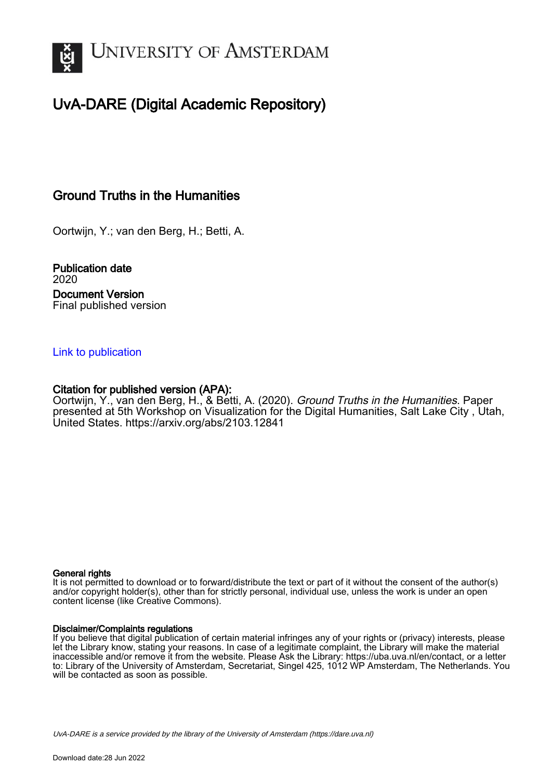

## UvA-DARE (Digital Academic Repository)

### Ground Truths in the Humanities

Oortwijn, Y.; van den Berg, H.; Betti, A.

Publication date 2020 Document Version Final published version

### [Link to publication](https://dare.uva.nl/personal/pure/en/publications/ground-truths-in-the-humanities(77021bde-84f8-46ae-a65e-f037f31b42b8).html)

### Citation for published version (APA):

Oortwijn, Y., van den Berg, H., & Betti, A. (2020). Ground Truths in the Humanities. Paper presented at 5th Workshop on Visualization for the Digital Humanities, Salt Lake City , Utah, United States. <https://arxiv.org/abs/2103.12841>

### General rights

It is not permitted to download or to forward/distribute the text or part of it without the consent of the author(s) and/or copyright holder(s), other than for strictly personal, individual use, unless the work is under an open content license (like Creative Commons).

### Disclaimer/Complaints regulations

If you believe that digital publication of certain material infringes any of your rights or (privacy) interests, please let the Library know, stating your reasons. In case of a legitimate complaint, the Library will make the material inaccessible and/or remove it from the website. Please Ask the Library: https://uba.uva.nl/en/contact, or a letter to: Library of the University of Amsterdam, Secretariat, Singel 425, 1012 WP Amsterdam, The Netherlands. You will be contacted as soon as possible.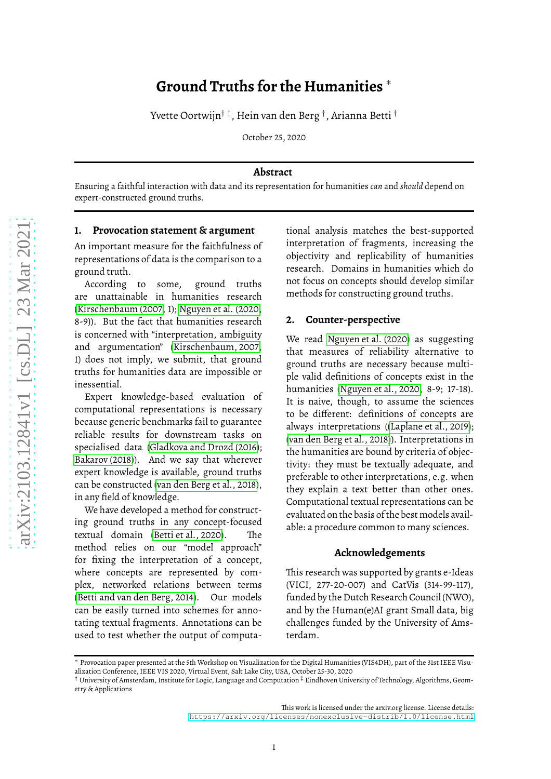# **Ground Truths for the Humanities** ∗

Yvette Oortwijn $^\dagger$   $^\ddagger$ , Hein van den Berg  $^\dagger$ , Arianna Betti  $^\dagger$ 

October 25, 2020

### **Abstract**

Ensuring a faithful interaction with data and its representation for humanities *can* and *should* depend on expert-constructed ground truths.

#### **1. Provocation statement & argument**

An important measure for the faithfulness of representations of data is the comparison to a ground truth.

According to some, ground truths are unattainable in humanities research [\(Kirschenbaum \(2007,](#page-2-0) 1); [Nguyen et al. \(2020,](#page-2-1) 8-9)). But the fact that humanities research is concerned with "interpretation, ambiguity and argumentation" [\(Kirschenbaum, 2007,](#page-2-0) 1) does not imply, we submit, that ground truths for humanities data are impossible or inessential.

Expert knowledge-based evaluation of computational representations is necessary because generic benchmarks fail to guarantee reliable results for downstream tasks on specialised data [\(Gladkova and Drozd \(2016\)](#page-2-2); [Bakarov \(2018\)](#page-2-3)). And we say that wherever expert knowledge is available, ground truths can be constructed [\(van den Berg et al., 2018\)](#page-2-4), in any field of knowledge.

We have developed a method for constructing ground truths in any concept-focused textual domain [\(Betti et al., 2020\)](#page-2-5). The method relies on our "model approach" for fixing the interpretation of a concept, where concepts are represented by complex, networked relations between terms [\(Betti and van den Berg, 2014\)](#page-2-6). Our models can be easily turned into schemes for annotating textual fragments. Annotations can be used to test whether the output of computational analysis matches the best-supported interpretation of fragments, increasing the objectivity and replicability of humanities research. Domains in humanities which do not focus on concepts should develop similar methods for constructing ground truths.

### **2. Counter-perspective**

We read [Nguyen et al. \(2020\)](#page-2-1) as suggesting that measures of reliability alternative to ground truths are necessary because multiple valid definitions of concepts exist in the humanities [\(Nguyen et al., 2020,](#page-2-1) 8-9; 17-18). It is naive, though, to assume the sciences to be different: definitions of concepts are always interpretations([\(Laplane et al., 2019\)](#page-2-7); [\(van den Berg et al., 2018\)](#page-2-4)). Interpretations in the humanities are bound by criteria of objectivity: they must be textually adequate, and preferable to other interpretations, e.g. when they explain a text better than other ones. Computational textual representations can be evaluated on the basis of the best models available: a procedure common to many sciences.

### **Acknowledgements**

This research was supported by grants e-Ideas (VICI, 277-20-007) and CatVis (314-99-117), funded by the Dutch Research Council (NWO), and by the Human(e)AI grant Small data, big challenges funded by the University of Amsterdam.

This work is licensed under the arxiv.org license. License details: <https://arxiv.org/licenses/nonexclusive-distrib/1.0/license.html>

<sup>∗</sup> Provocation paper presented at the 5th Workshop on Visualization for the Digital Humanities (VIS4DH), part of the 31st IEEE Visualization Conference, IEEE VIS 2020, Virtual Event, Salt Lake City, USA, October 25-30, 2020

 $\dagger$  University of Amsterdam, Institute for Logic, Language and Computation  $^\ddagger$  Eindhoven University of Technology, Algorithms, Geometry & Applications